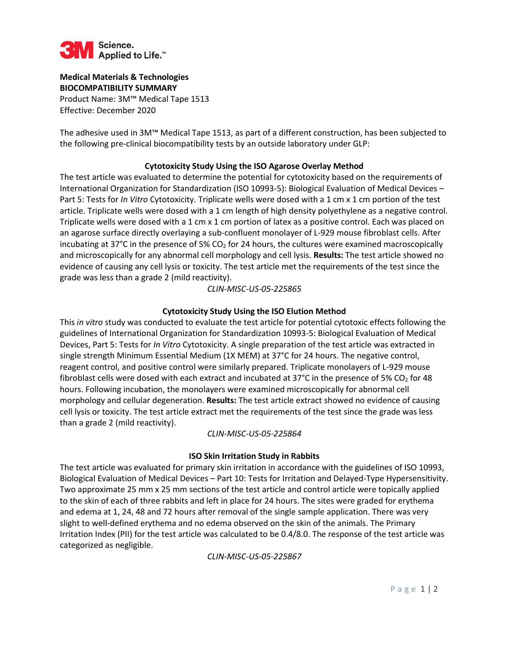

#### **Medical Materials & Technologies BIOCOMPATIBILITY SUMMARY**

Product Name: 3M™ Medical Tape 1513 Effective: December 2020

The adhesive used in 3M™ Medical Tape 1513, as part of a different construction, has been subjected to the following pre-clinical biocompatibility tests by an outside laboratory under GLP:

## **Cytotoxicity Study Using the ISO Agarose Overlay Method**

The test article was evaluated to determine the potential for cytotoxicity based on the requirements of International Organization for Standardization (ISO 10993-5): Biological Evaluation of Medical Devices – Part 5: Tests for *In Vitro* Cytotoxicity. Triplicate wells were dosed with a 1 cm x 1 cm portion of the test article. Triplicate wells were dosed with a 1 cm length of high density polyethylene as a negative control. Triplicate wells were dosed with a 1 cm x 1 cm portion of latex as a positive control. Each was placed on an agarose surface directly overlaying a sub-confluent monolayer of L-929 mouse fibroblast cells. After incubating at 37 $^{\circ}$ C in the presence of 5% CO<sub>2</sub> for 24 hours, the cultures were examined macroscopically and microscopically for any abnormal cell morphology and cell lysis. **Results:** The test article showed no evidence of causing any cell lysis or toxicity. The test article met the requirements of the test since the grade was less than a grade 2 (mild reactivity).

*CLIN-MISC-US-05-225865*

## **Cytotoxicity Study Using the ISO Elution Method**

This *in vitro* study was conducted to evaluate the test article for potential cytotoxic effects following the guidelines of International Organization for Standardization 10993-5: Biological Evaluation of Medical Devices, Part 5: Tests for *In Vitro* Cytotoxicity. A single preparation of the test article was extracted in single strength Minimum Essential Medium (1X MEM) at 37°C for 24 hours. The negative control, reagent control, and positive control were similarly prepared. Triplicate monolayers of L-929 mouse fibroblast cells were dosed with each extract and incubated at 37°C in the presence of 5% CO<sub>2</sub> for 48 hours. Following incubation, the monolayers were examined microscopically for abnormal cell morphology and cellular degeneration. **Results:** The test article extract showed no evidence of causing cell lysis or toxicity. The test article extract met the requirements of the test since the grade was less than a grade 2 (mild reactivity).

# *CLIN-MISC-US-05-225864*

# **ISO Skin Irritation Study in Rabbits**

The test article was evaluated for primary skin irritation in accordance with the guidelines of ISO 10993, Biological Evaluation of Medical Devices – Part 10: Tests for Irritation and Delayed-Type Hypersensitivity. Two approximate 25 mm x 25 mm sections of the test article and control article were topically applied to the skin of each of three rabbits and left in place for 24 hours. The sites were graded for erythema and edema at 1, 24, 48 and 72 hours after removal of the single sample application. There was very slight to well-defined erythema and no edema observed on the skin of the animals. The Primary Irritation Index (PII) for the test article was calculated to be 0.4/8.0. The response of the test article was categorized as negligible.

*CLIN-MISC-US-05-225867*